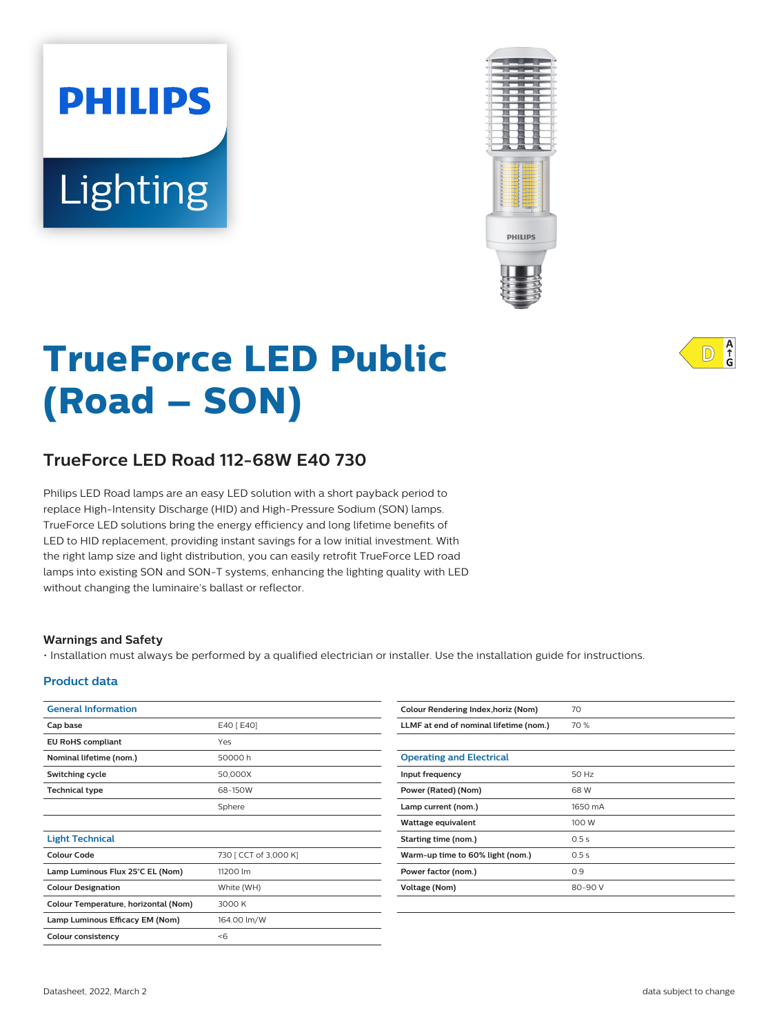# Lighting

**PHILIPS** 



# **TrueForce LED Public (Road – SON)**

# **TrueForce LED Road 112-68W E40 730**

Philips LED Road lamps are an easy LED solution with a short payback period to replace High-Intensity Discharge (HID) and High-Pressure Sodium (SON) lamps. TrueForce LED solutions bring the energy efficiency and long lifetime benefits of LED to HID replacement, providing instant savings for a low initial investment. With the right lamp size and light distribution, you can easily retrofit TrueForce LED road lamps into existing SON and SON-T systems, enhancing the lighting quality with LED without changing the luminaire's ballast or reflector.

#### **Warnings and Safety**

• Installation must always be performed by a qualified electrician or installer. Use the installation guide for instructions.

#### **Product data**

| <b>General Information</b>           |                       |    |
|--------------------------------------|-----------------------|----|
| Cap base                             | E40 [ E40]            |    |
| <b>EU RoHS compliant</b>             | Yes                   |    |
| Nominal lifetime (nom.)              | 50000 h               | C  |
| Switching cycle                      | 50,000X               | Iı |
| <b>Technical type</b>                | 68-150W               | P  |
|                                      | Sphere                |    |
|                                      |                       | V  |
| <b>Light Technical</b>               |                       | s  |
| <b>Colour Code</b>                   | 730 [ CCT of 3,000 K] | V  |
| Lamp Luminous Flux 25°C EL (Nom)     | 11200 lm              | P  |
| <b>Colour Designation</b>            | White (WH)            |    |
| Colour Temperature, horizontal (Nom) | 3000 K                |    |
| Lamp Luminous Efficacy EM (Nom)      | 164.00 lm/W           |    |
| <b>Colour consistency</b>            | < 6                   |    |
|                                      |                       |    |

| Colour Rendering Index, horiz (Nom)    | 70      |
|----------------------------------------|---------|
| LLMF at end of nominal lifetime (nom.) | 70 %    |
|                                        |         |
| <b>Operating and Electrical</b>        |         |
| Input frequency                        | 50 Hz   |
| Power (Rated) (Nom)                    | 68 W    |
| Lamp current (nom.)                    | 1650 mA |
| Wattage equivalent                     | 100 W   |
| Starting time (nom.)                   | 0.5s    |
| Warm-up time to 60% light (nom.)       | 0.5s    |
| Power factor (nom.)                    | 0.9     |
| Voltage (Nom)                          | 80-90 V |
|                                        |         |

 $A$ <sub>G</sub>  $ID$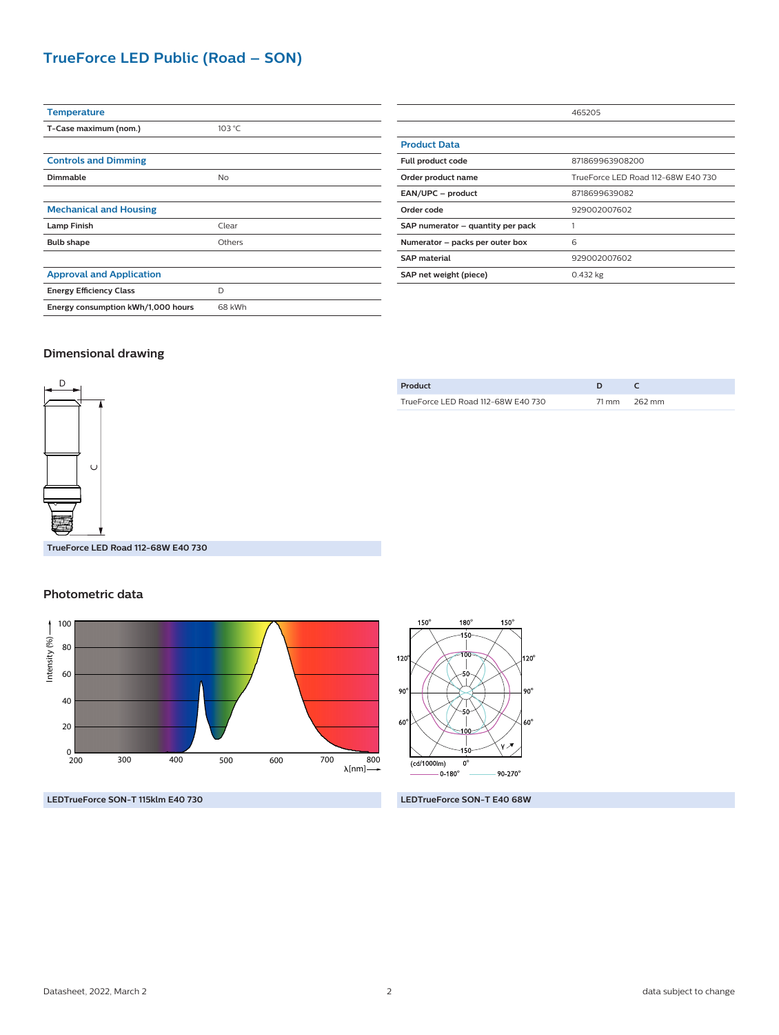## **TrueForce LED Public (Road – SON)**

| <b>Temperature</b>                 |        |
|------------------------------------|--------|
| T-Case maximum (nom.)              | 103 °C |
|                                    |        |
| <b>Controls and Dimming</b>        |        |
| Dimmable                           | No     |
|                                    |        |
| <b>Mechanical and Housing</b>      |        |
| <b>Lamp Finish</b>                 | Clear  |
| <b>Bulb shape</b>                  | Others |
|                                    |        |
| <b>Approval and Application</b>    |        |
| <b>Energy Efficiency Class</b>     | D      |
| Energy consumption kWh/1,000 hours | 68 kWh |
|                                    |        |

|                                   | 465205                             |
|-----------------------------------|------------------------------------|
|                                   |                                    |
| <b>Product Data</b>               |                                    |
| Full product code                 | 871869963908200                    |
| Order product name                | TrueForce LED Road 112-68W E40 730 |
| EAN/UPC - product                 | 8718699639082                      |
| Order code                        | 929002007602                       |
| SAP numerator - quantity per pack |                                    |
| Numerator - packs per outer box   | 6                                  |
| <b>SAP material</b>               | 929002007602                       |
| SAP net weight (piece)            | 0.432 kg                           |

#### **Dimensional drawing**



TrueForce LED Road 112-68W E40 730 71 mm 262 mm

**Product D C**

**TrueForce LED Road 112-68W E40 730**

#### **Photometric data**



**LEDTrueForce SON-T 115klm E40 730 LEDTrueForce SON-T E40 68W**

 $150^\circ$ 180  $150^\circ$ .<br>10  $120^\circ$ 20° - 1  $90^\circ$ 90  $60^\circ$ 60  $\overline{(cd/1000\text{lm})}$  $\overline{0}$  $-0.180^{\circ}$  $90 - 270^{\circ}$